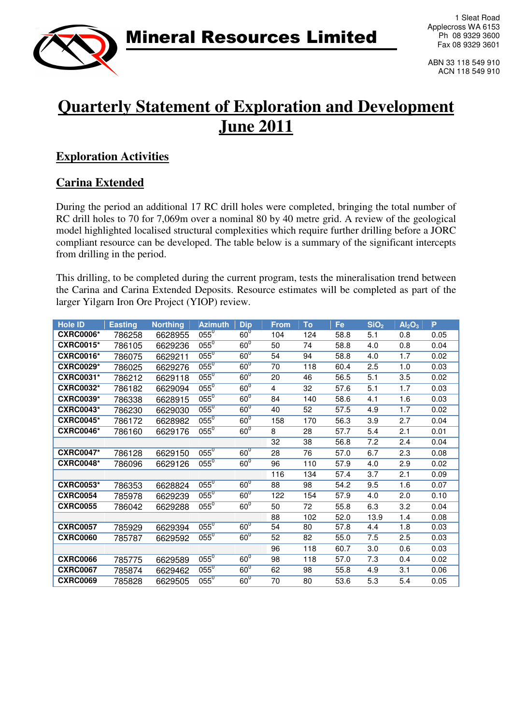

ABN 33 118 549 910 ACN 118 549 910

# **Quarterly Statement of Exploration and Development June 2011**

### **Exploration Activities**

### **Carina Extended**

During the period an additional 17 RC drill holes were completed, bringing the total number of RC drill holes to 70 for 7,069m over a nominal 80 by 40 metre grid. A review of the geological model highlighted localised structural complexities which require further drilling before a JORC compliant resource can be developed. The table below is a summary of the significant intercepts from drilling in the period.

This drilling, to be completed during the current program, tests the mineralisation trend between the Carina and Carina Extended Deposits. Resource estimates will be completed as part of the larger Yilgarn Iron Ore Project (YIOP) review.

| <b>Hole ID</b>   | <b>Easting</b> | <b>Northing</b> | <b>Azimuth</b> | <b>Dip</b>      | <b>From</b> | To  | Fe   | SiO <sub>2</sub> | Al <sub>2</sub> O <sub>3</sub> | P    |
|------------------|----------------|-----------------|----------------|-----------------|-------------|-----|------|------------------|--------------------------------|------|
| <b>CXRC0006*</b> | 786258         | 6628955         | $055^\circ$    | $60^\circ$      | 104         | 124 | 58.8 | 5.1              | 0.8                            | 0.05 |
| <b>CXRC0015*</b> | 786105         | 6629236         | $055^\circ$    | $60^0$          | 50          | 74  | 58.8 | 4.0              | 0.8                            | 0.04 |
| <b>CXRC0016*</b> | 786075         | 6629211         | $055^\circ$    | $60^0$          | 54          | 94  | 58.8 | 4.0              | 1.7                            | 0.02 |
| <b>CXRC0029*</b> | 786025         | 6629276         | $055^\circ$    | $60^0$          | 70          | 118 | 60.4 | 2.5              | 1.0                            | 0.03 |
| <b>CXRC0031*</b> | 786212         | 6629118         | $055^\circ$    | $60^{\circ}$    | 20          | 46  | 56.5 | 5.1              | 3.5                            | 0.02 |
| <b>CXRC0032*</b> | 786182         | 6629094         | $055^\circ$    | $60^0$          | 4           | 32  | 57.6 | 5.1              | 1.7                            | 0.03 |
| <b>CXRC0039*</b> | 786338         | 6628915         | $055^\circ$    | $60^0$          | 84          | 140 | 58.6 | 4.1              | 1.6                            | 0.03 |
| <b>CXRC0043*</b> | 786230         | 6629030         | $055^\circ$    | $60^0$          | 40          | 52  | 57.5 | 4.9              | 1.7                            | 0.02 |
| <b>CXRC0045*</b> | 786172         | 6628982         | $055^\circ$    | $60^0$          | 158         | 170 | 56.3 | 3.9              | 2.7                            | 0.04 |
| <b>CXRC0046*</b> | 786160         | 6629176         | $055^\circ$    | $60^0$          | 8           | 28  | 57.7 | 5.4              | 2.1                            | 0.01 |
|                  |                |                 |                |                 | 32          | 38  | 56.8 | 7.2              | 2.4                            | 0.04 |
| <b>CXRC0047*</b> | 786128         | 6629150         | $055^\circ$    | $60^{\circ}$    | 28          | 76  | 57.0 | 6.7              | 2.3                            | 0.08 |
| <b>CXRC0048*</b> | 786096         | 6629126         | $055^\circ$    | 60 <sup>0</sup> | 96          | 110 | 57.9 | 4.0              | 2.9                            | 0.02 |
|                  |                |                 |                |                 | 116         | 134 | 57.4 | 3.7              | 2.1                            | 0.09 |
| <b>CXRC0053*</b> | 786353         | 6628824         | $055^\circ$    | $60^{\circ}$    | 88          | 98  | 54.2 | 9.5              | 1.6                            | 0.07 |
| <b>CXRC0054</b>  | 785978         | 6629239         | $055^\circ$    | $60^0$          | 122         | 154 | 57.9 | 4.0              | 2.0                            | 0.10 |
| <b>CXRC0055</b>  | 786042         | 6629288         | $055^\circ$    | $60^0$          | 50          | 72  | 55.8 | 6.3              | 3.2                            | 0.04 |
|                  |                |                 |                |                 | 88          | 102 | 52.0 | 13.9             | 1.4                            | 0.08 |
| <b>CXRC0057</b>  | 785929         | 6629394         | $055^\circ$    | $60^{\circ}$    | 54          | 80  | 57.8 | 4.4              | 1.8                            | 0.03 |
| <b>CXRC0060</b>  | 785787         | 6629592         | $055^\circ$    | $60^\circ$      | 52          | 82  | 55.0 | 7.5              | 2.5                            | 0.03 |
|                  |                |                 |                |                 | 96          | 118 | 60.7 | 3.0              | 0.6                            | 0.03 |
| <b>CXRC0066</b>  | 785775         | 6629589         | $055^\circ$    | $60^\circ$      | 98          | 118 | 57.0 | 7.3              | 0.4                            | 0.02 |
| <b>CXRC0067</b>  | 785874         | 6629462         | $055^\circ$    | $60^\circ$      | 62          | 98  | 55.8 | 4.9              | 3.1                            | 0.06 |
| <b>CXRC0069</b>  | 785828         | 6629505         | $055^\circ$    | $60^{\circ}$    | 70          | 80  | 53.6 | 5.3              | 5.4                            | 0.05 |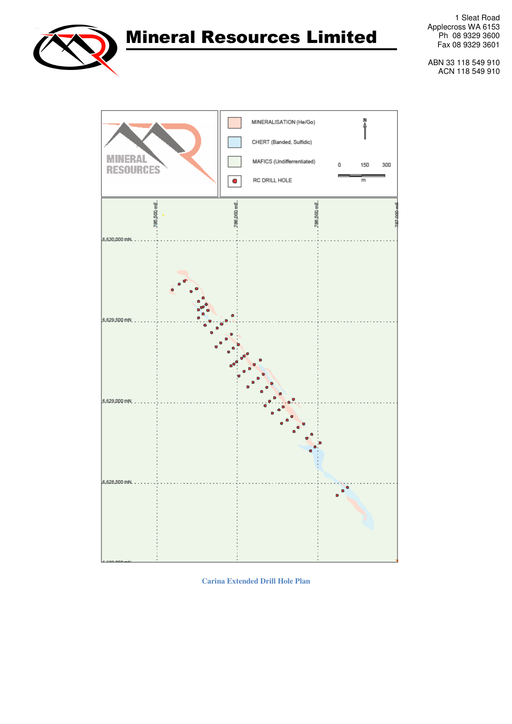

1 Sleat Road Applecross WA 6153 Ph 08 9329 3600 Fax 08 9329 3601

ABN 33 118 549 910 ACN 118 549 910



**Carina Extended Drill Hole Plan**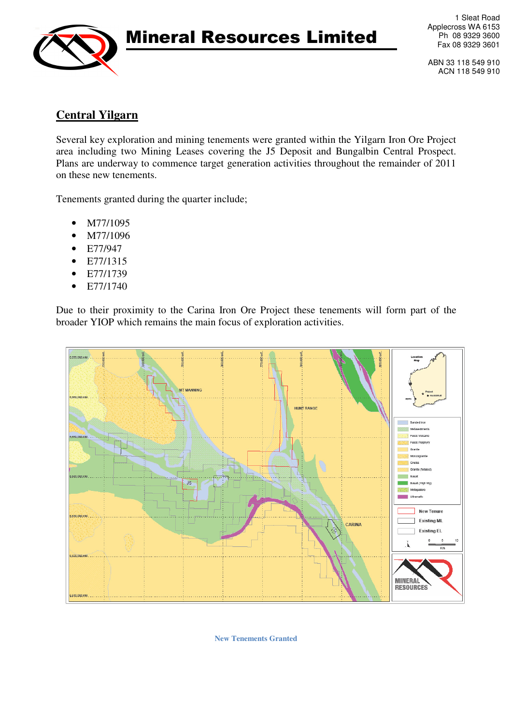

1 Sleat Road Applecross WA 6153 Ph 08 9329 3600 Fax 08 9329 3601

ABN 33 118 549 910 ACN 118 549 910

### **Central Yilgarn**

Several key exploration and mining tenements were granted within the Yilgarn Iron Ore Project area including two Mining Leases covering the J5 Deposit and Bungalbin Central Prospect. Plans are underway to commence target generation activities throughout the remainder of 2011 on these new tenements.

Tenements granted during the quarter include;

- M77/1095
- M77/1096
- E77/947
- E77/1315
- E77/1739
- E77/1740

Due to their proximity to the Carina Iron Ore Project these tenements will form part of the broader YIOP which remains the main focus of exploration activities.



**New Tenements Granted**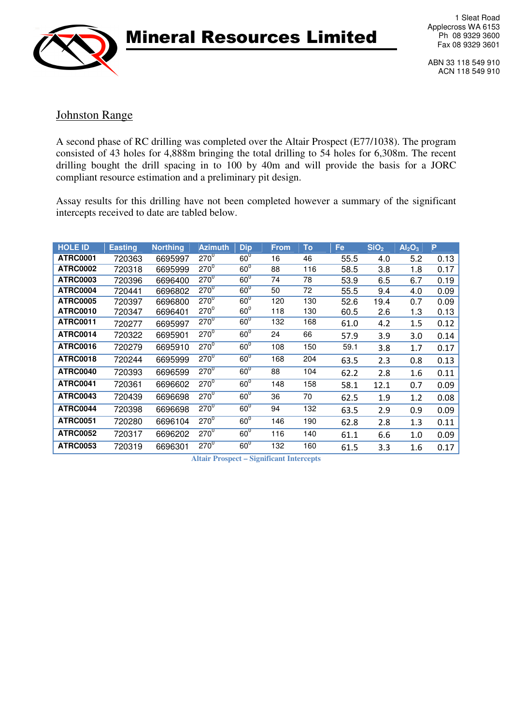

1 Sleat Road Applecross WA 6153 Ph 08 9329 3600 Fax 08 9329 3601

ABN 33 118 549 910 ACN 118 549 910

#### Johnston Range

A second phase of RC drilling was completed over the Altair Prospect (E77/1038). The program consisted of 43 holes for 4,888m bringing the total drilling to 54 holes for 6,308m. The recent drilling bought the drill spacing in to 100 by 40m and will provide the basis for a JORC compliant resource estimation and a preliminary pit design.

Assay results for this drilling have not been completed however a summary of the significant intercepts received to date are tabled below.

| <b>HOLE ID</b>  | <b>Easting</b> | <b>Northing</b> | <b>Azimuth</b> | <b>Dip</b>   | <b>From</b> | To  | Fe   | SiO <sub>2</sub> | Al <sub>2</sub> O <sub>3</sub> | P    |
|-----------------|----------------|-----------------|----------------|--------------|-------------|-----|------|------------------|--------------------------------|------|
| <b>ATRC0001</b> | 720363         | 6695997         | $270^\circ$    | $60^0$       | 16          | 46  | 55.5 | 4.0              | 5.2                            | 0.13 |
| <b>ATRC0002</b> | 720318         | 6695999         | $270^{0}$      | $60^\circ$   | 88          | 116 | 58.5 | 3.8              | 1.8                            | 0.17 |
| <b>ATRC0003</b> | 720396         | 6696400         | $270^\circ$    | $60^0$       | 74          | 78  | 53.9 | 6.5              | 6.7                            | 0.19 |
| <b>ATRC0004</b> | 720441         | 6696802         | $270^0$        | $60^0$       | 50          | 72  | 55.5 | 9.4              | 4.0                            | 0.09 |
| <b>ATRC0005</b> | 720397         | 6696800         | $270^0$        | $60^0$       | 120         | 130 | 52.6 | 19.4             | 0.7                            | 0.09 |
| <b>ATRC0010</b> | 720347         | 6696401         | $270^{0}$      | $60^0$       | 118         | 130 | 60.5 | 2.6              | 1.3                            | 0.13 |
| <b>ATRC0011</b> | 720277         | 6695997         | $270^\circ$    | $60^0$       | 132         | 168 | 61.0 | 4.2              | 1.5                            | 0.12 |
| <b>ATRC0014</b> | 720322         | 6695901         | $270^\circ$    | $60^0$       | 24          | 66  | 57.9 | 3.9              | 3.0                            | 0.14 |
| <b>ATRC0016</b> | 720279         | 6695910         | $270^\circ$    | $60^0$       | 108         | 150 | 59.1 | 3.8              | 1.7                            | 0.17 |
| <b>ATRC0018</b> | 720244         | 6695999         | $270^\circ$    | $60^0$       | 168         | 204 | 63.5 | 2.3              | 0.8                            | 0.13 |
| ATRC0040        | 720393         | 6696599         | $270^\circ$    | $60^0$       | 88          | 104 | 62.2 | 2.8              | 1.6                            | 0.11 |
| <b>ATRC0041</b> | 720361         | 6696602         | $270^\circ$    | $60^0$       | 148         | 158 | 58.1 | 12.1             | 0.7                            | 0.09 |
| <b>ATRC0043</b> | 720439         | 6696698         | $270^0$        | $60^0$       | 36          | 70  | 62.5 | 1.9              | 1.2                            | 0.08 |
| ATRC0044        | 720398         | 6696698         | $270^\circ$    | $60^0$       | 94          | 132 | 63.5 | 2.9              | 0.9                            | 0.09 |
| <b>ATRC0051</b> | 720280         | 6696104         | $270^\circ$    | $60^0$       | 146         | 190 | 62.8 | 2.8              | $1.3\,$                        | 0.11 |
| <b>ATRC0052</b> | 720317         | 6696202         | $270^\circ$    | $60^{\circ}$ | 116         | 140 | 61.1 | 6.6              | 1.0                            | 0.09 |
| <b>ATRC0053</b> | 720319         | 6696301         | $270^\circ$    | $60^0$       | 132         | 160 | 61.5 | 3.3              | 1.6                            | 0.17 |

**Altair Prospect – Significant Intercepts**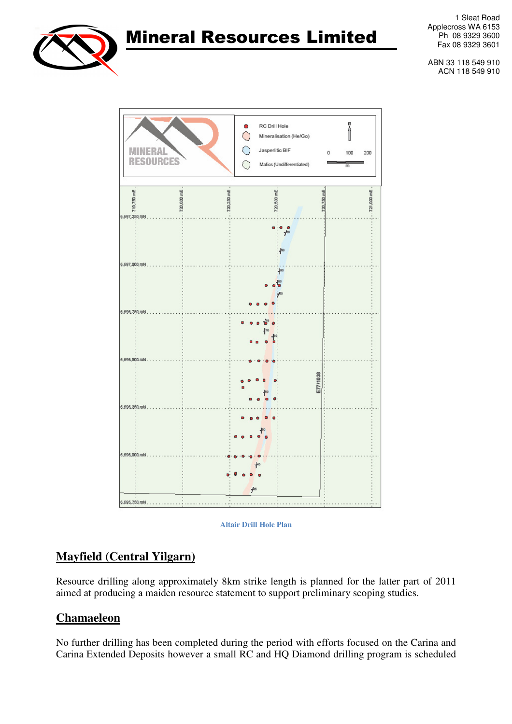

1 Sleat Road Applecross WA 6153 Ph 08 9329 3600 Fax 08 9329 3601

ABN 33 118 549 910 ACN 118 549 910





## **Mayfield (Central Yilgarn)**

Resource drilling along approximately 8km strike length is planned for the latter part of 2011 aimed at producing a maiden resource statement to support preliminary scoping studies.

### **Chamaeleon**

No further drilling has been completed during the period with efforts focused on the Carina and Carina Extended Deposits however a small RC and HQ Diamond drilling program is scheduled